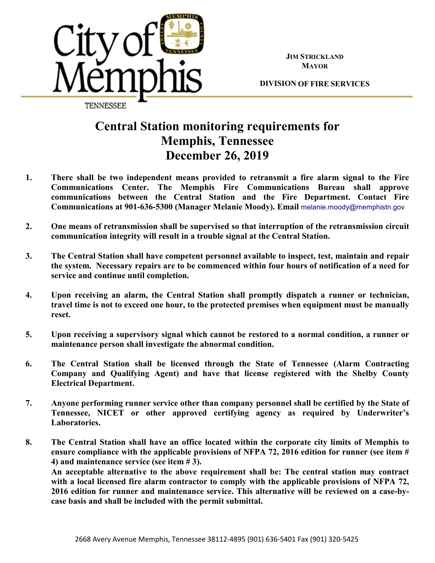

**JIM STRICKLAND MAYOR**

**DIVISION OF FIRE SERVICES**

## **Central Station monitoring requirements for Memphis, Tennessee December 26, 2019**

- **1. There shall be two independent means provided to retransmit a fire alarm signal to the Fire Communications Center. The Memphis Fire Communications Bureau shall approve communications between the Central Station and the Fire Department. Contact Fire Communications at 901-636-5300 (Manager Melanie Moody). Email** melanie.moody@memphistn.gov
- **2. One means of retransmission shall be supervised so that interruption of the retransmission circuit communication integrity will result in a trouble signal at the Central Station.**
- **3. The Central Station shall have competent personnel available to inspect, test, maintain and repair the system. Necessary repairs are to be commenced within four hours of notification of a need for service and continue until completion.**
- **4. Upon receiving an alarm, the Central Station shall promptly dispatch a runner or technician, travel time is not to exceed one hour, to the protected premises when equipment must be manually reset.**
- **5. Upon receiving a supervisory signal which cannot be restored to a normal condition, a runner or maintenance person shall investigate the abnormal condition.**
- **6. The Central Station shall be licensed through the State of Tennessee (Alarm Contracting Company and Qualifying Agent) and have that license registered with the Shelby County Electrical Department.**
- **7. Anyone performing runner service other than company personnel shall be certified by the State of Tennessee, NICET or other approved certifying agency as required by Underwriter's Laboratories.**
- **8. The Central Station shall have an office located within the corporate city limits of Memphis to ensure compliance with the applicable provisions of NFPA 72, 2016 edition for runner (see item # 4) and maintenance service (see item # 3).**

**An acceptable alternative to the above requirement shall be: The central station may contract with a local licensed fire alarm contractor to comply with the applicable provisions of NFPA 72, 2016 edition for runner and maintenance service. This alternative will be reviewed on a case-bycase basis and shall be included with the permit submittal.**